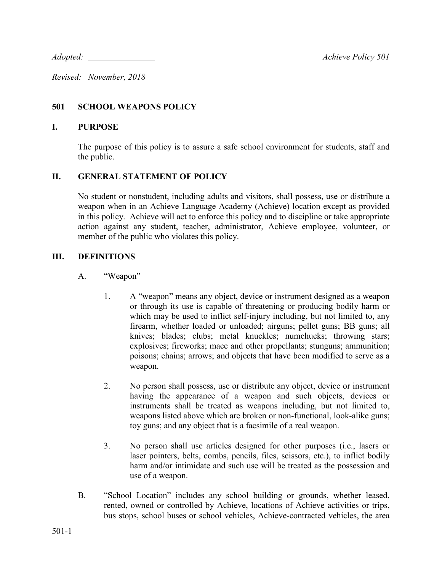*Adopted: Achieve Policy 501*

*Revised: November, 2018* 

### **501 SCHOOL WEAPONS POLICY**

#### **I. PURPOSE**

The purpose of this policy is to assure a safe school environment for students, staff and the public.

### **II. GENERAL STATEMENT OF POLICY**

No student or nonstudent, including adults and visitors, shall possess, use or distribute a weapon when in an Achieve Language Academy (Achieve) location except as provided in this policy. Achieve will act to enforce this policy and to discipline or take appropriate action against any student, teacher, administrator, Achieve employee, volunteer, or member of the public who violates this policy.

### **III. DEFINITIONS**

- A. "Weapon"
	- 1. A "weapon" means any object, device or instrument designed as a weapon or through its use is capable of threatening or producing bodily harm or which may be used to inflict self-injury including, but not limited to, any firearm, whether loaded or unloaded; airguns; pellet guns; BB guns; all knives; blades; clubs; metal knuckles; numchucks; throwing stars; explosives; fireworks; mace and other propellants; stunguns; ammunition; poisons; chains; arrows; and objects that have been modified to serve as a weapon.
	- 2. No person shall possess, use or distribute any object, device or instrument having the appearance of a weapon and such objects, devices or instruments shall be treated as weapons including, but not limited to, weapons listed above which are broken or non-functional, look-alike guns; toy guns; and any object that is a facsimile of a real weapon.
	- 3. No person shall use articles designed for other purposes (i.e., lasers or laser pointers, belts, combs, pencils, files, scissors, etc.), to inflict bodily harm and/or intimidate and such use will be treated as the possession and use of a weapon.
- B. "School Location" includes any school building or grounds, whether leased, rented, owned or controlled by Achieve, locations of Achieve activities or trips, bus stops, school buses or school vehicles, Achieve-contracted vehicles, the area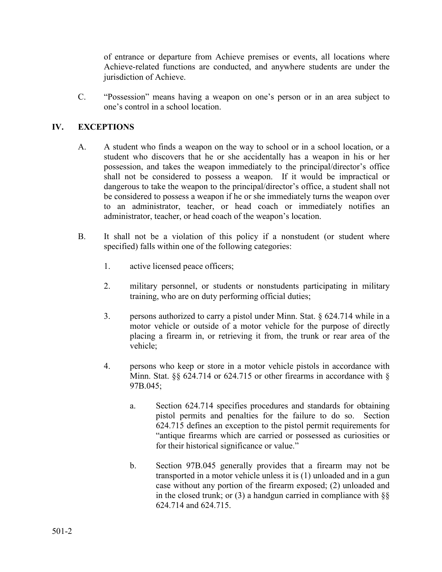of entrance or departure from Achieve premises or events, all locations where Achieve-related functions are conducted, and anywhere students are under the jurisdiction of Achieve.

C. "Possession" means having a weapon on one's person or in an area subject to one's control in a school location.

# **IV. EXCEPTIONS**

- A. A student who finds a weapon on the way to school or in a school location, or a student who discovers that he or she accidentally has a weapon in his or her possession, and takes the weapon immediately to the principal/director's office shall not be considered to possess a weapon. If it would be impractical or dangerous to take the weapon to the principal/director's office, a student shall not be considered to possess a weapon if he or she immediately turns the weapon over to an administrator, teacher, or head coach or immediately notifies an administrator, teacher, or head coach of the weapon's location.
- B. It shall not be a violation of this policy if a nonstudent (or student where specified) falls within one of the following categories:
	- 1. active licensed peace officers;
	- 2. military personnel, or students or nonstudents participating in military training, who are on duty performing official duties;
	- 3. persons authorized to carry a pistol under Minn. Stat. § 624.714 while in a motor vehicle or outside of a motor vehicle for the purpose of directly placing a firearm in, or retrieving it from, the trunk or rear area of the vehicle;
	- 4. persons who keep or store in a motor vehicle pistols in accordance with Minn. Stat. §§ 624.714 or 624.715 or other firearms in accordance with § 97B.045;
		- a. Section 624.714 specifies procedures and standards for obtaining pistol permits and penalties for the failure to do so. Section 624.715 defines an exception to the pistol permit requirements for "antique firearms which are carried or possessed as curiosities or for their historical significance or value."
		- b. Section 97B.045 generally provides that a firearm may not be transported in a motor vehicle unless it is (1) unloaded and in a gun case without any portion of the firearm exposed; (2) unloaded and in the closed trunk; or (3) a handgun carried in compliance with  $\S$ 624.714 and 624.715.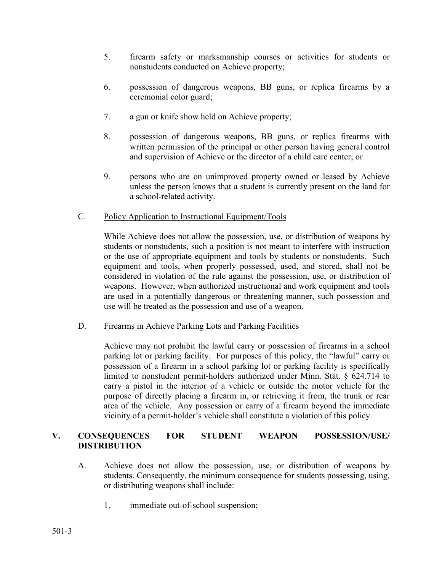- 5. firearm safety or marksmanship courses or activities for students or nonstudents conducted on Achieve property;
- 6. possession of dangerous weapons, BB guns, or replica firearms by a ceremonial color guard;
- 7. a gun or knife show held on Achieve property;
- 8. possession of dangerous weapons, BB guns, or replica firearms with written permission of the principal or other person having general control and supervision of Achieve or the director of a child care center; or
- 9. persons who are on unimproved property owned or leased by Achieve unless the person knows that a student is currently present on the land for a school-related activity.
- C. Policy Application to Instructional Equipment/Tools

While Achieve does not allow the possession, use, or distribution of weapons by students or nonstudents, such a position is not meant to interfere with instruction or the use of appropriate equipment and tools by students or nonstudents. Such equipment and tools, when properly possessed, used, and stored, shall not be considered in violation of the rule against the possession, use, or distribution of weapons. However, when authorized instructional and work equipment and tools are used in a potentially dangerous or threatening manner, such possession and use will be treated as the possession and use of a weapon.

D. Firearms in Achieve Parking Lots and Parking Facilities

Achieve may not prohibit the lawful carry or possession of firearms in a school parking lot or parking facility. For purposes of this policy, the "lawful" carry or possession of a firearm in a school parking lot or parking facility is specifically limited to nonstudent permit-holders authorized under Minn. Stat. § 624.714 to carry a pistol in the interior of a vehicle or outside the motor vehicle for the purpose of directly placing a firearm in, or retrieving it from, the trunk or rear area of the vehicle. Any possession or carry of a firearm beyond the immediate vicinity of a permit-holder's vehicle shall constitute a violation of this policy.

# **V. CONSEQUENCES FOR STUDENT WEAPON POSSESSION/USE/ DISTRIBUTION**

- A. Achieve does not allow the possession, use, or distribution of weapons by students. Consequently, the minimum consequence for students possessing, using, or distributing weapons shall include:
	- 1. immediate out-of-school suspension;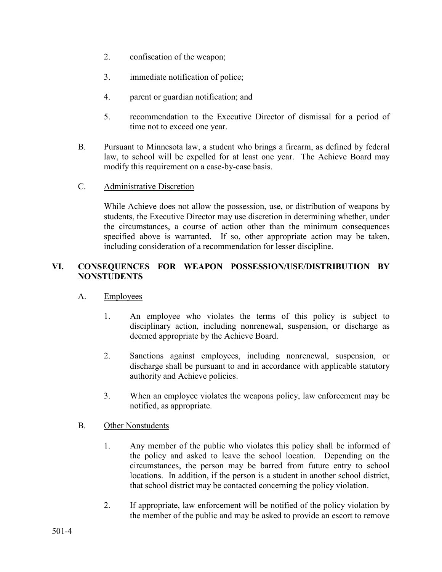- 2. confiscation of the weapon;
- 3. immediate notification of police;
- 4. parent or guardian notification; and
- 5. recommendation to the Executive Director of dismissal for a period of time not to exceed one year.
- B. Pursuant to Minnesota law, a student who brings a firearm, as defined by federal law, to school will be expelled for at least one year. The Achieve Board may modify this requirement on a case-by-case basis.
- C. Administrative Discretion

While Achieve does not allow the possession, use, or distribution of weapons by students, the Executive Director may use discretion in determining whether, under the circumstances, a course of action other than the minimum consequences specified above is warranted. If so, other appropriate action may be taken, including consideration of a recommendation for lesser discipline.

# **VI. CONSEQUENCES FOR WEAPON POSSESSION/USE/DISTRIBUTION BY NONSTUDENTS**

- A. Employees
	- 1. An employee who violates the terms of this policy is subject to disciplinary action, including nonrenewal, suspension, or discharge as deemed appropriate by the Achieve Board.
	- 2. Sanctions against employees, including nonrenewal, suspension, or discharge shall be pursuant to and in accordance with applicable statutory authority and Achieve policies.
	- 3. When an employee violates the weapons policy, law enforcement may be notified, as appropriate.
- B. Other Nonstudents
	- 1. Any member of the public who violates this policy shall be informed of the policy and asked to leave the school location. Depending on the circumstances, the person may be barred from future entry to school locations. In addition, if the person is a student in another school district, that school district may be contacted concerning the policy violation.
	- 2. If appropriate, law enforcement will be notified of the policy violation by the member of the public and may be asked to provide an escort to remove